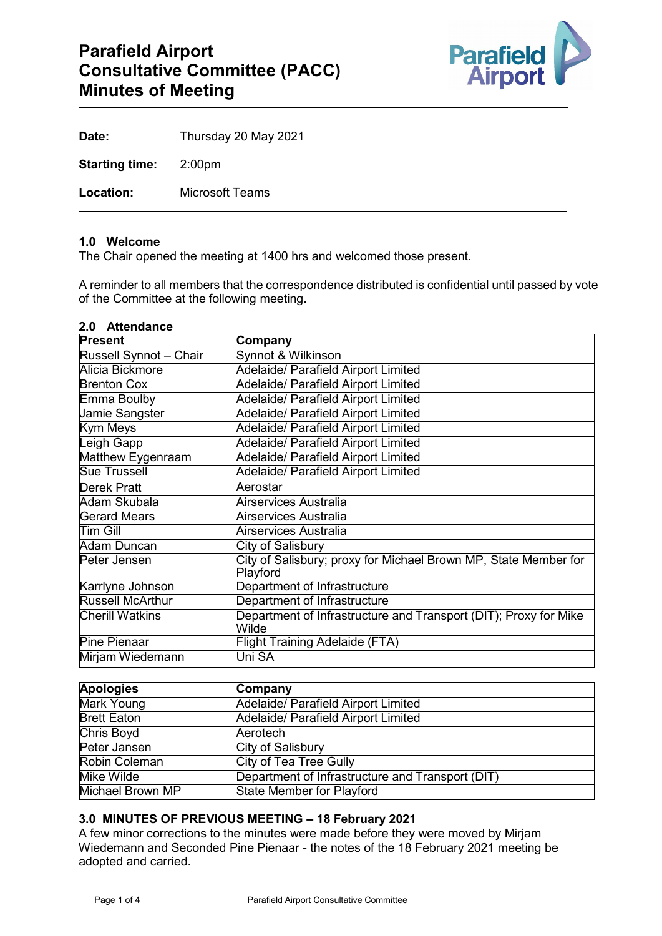

| Date:                        | Thursday 20 May 2021   |
|------------------------------|------------------------|
| <b>Starting time:</b> 2:00pm |                        |
| Location:                    | <b>Microsoft Teams</b> |

## **1.0 Welcome**

The Chair opened the meeting at 1400 hrs and welcomed those present.

A reminder to all members that the correspondence distributed is confidential until passed by vote of the Committee at the following meeting.

# **2.0 Attendance**

| <b>Present</b>                | Company                                                                     |
|-------------------------------|-----------------------------------------------------------------------------|
| <b>Russell Synnot - Chair</b> | Synnot & Wilkinson                                                          |
| Alicia Bickmore               | Adelaide/ Parafield Airport Limited                                         |
| <b>Brenton Cox</b>            | Adelaide/ Parafield Airport Limited                                         |
| Emma Boulby                   | Adelaide/ Parafield Airport Limited                                         |
| Jamie Sangster                | Adelaide/ Parafield Airport Limited                                         |
| Kym Meys                      | Adelaide/ Parafield Airport Limited                                         |
| Leigh Gapp                    | Adelaide/ Parafield Airport Limited                                         |
| Matthew Eygenraam             | Adelaide/ Parafield Airport Limited                                         |
| <b>Sue Trussell</b>           | Adelaide/ Parafield Airport Limited                                         |
| <b>Derek Pratt</b>            | Aerostar                                                                    |
| Adam Skubala                  | Airservices Australia                                                       |
| <b>Gerard Mears</b>           | Airservices Australia                                                       |
| lTim Gill                     | Airservices Australia                                                       |
| Adam Duncan                   | City of Salisbury                                                           |
| Peter Jensen                  | City of Salisbury; proxy for Michael Brown MP, State Member for<br>Playford |
| Karrlyne Johnson              | Department of Infrastructure                                                |
| <b>Russell McArthur</b>       | Department of Infrastructure                                                |
| <b>Cherill Watkins</b>        | Department of Infrastructure and Transport (DIT); Proxy for Mike<br>Wilde   |
| Pine Pienaar                  | Flight Training Adelaide (FTA)                                              |
| Mirjam Wiedemann              | Uni SA                                                                      |

| <b>Apologies</b>     | Company                                          |
|----------------------|--------------------------------------------------|
| Mark Young           | Adelaide/ Parafield Airport Limited              |
| <b>Brett Eaton</b>   | Adelaide/ Parafield Airport Limited              |
| <b>Chris Boyd</b>    | Aerotech                                         |
| Peter Jansen         | City of Salisbury                                |
| <b>Robin Coleman</b> | City of Tea Tree Gully                           |
| Mike Wilde           | Department of Infrastructure and Transport (DIT) |
| Michael Brown MP     | <b>State Member for Playford</b>                 |

#### **3.0 MINUTES OF PREVIOUS MEETING – 18 February 2021**

A few minor corrections to the minutes were made before they were moved by Mirjam Wiedemann and Seconded Pine Pienaar - the notes of the 18 February 2021 meeting be adopted and carried.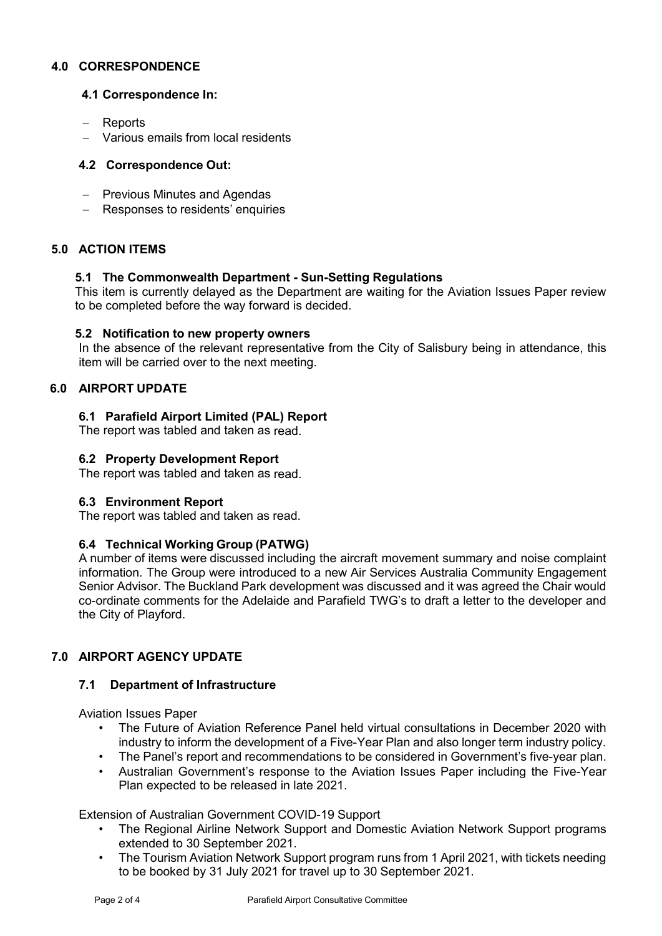## **4.0 CORRESPONDENCE**

## **4.1 Correspondence In:**

- − Reports
- − Various emails from local residents

## **4.2 Correspondence Out:**

- − Previous Minutes and Agendas
- − Responses to residents' enquiries

## **5.0 ACTION ITEMS**

#### **5.1 The Commonwealth Department - Sun-Setting Regulations**

This item is currently delayed as the Department are waiting for the Aviation Issues Paper review to be completed before the way forward is decided.

#### **5.2 Notification to new property owners**

In the absence of the relevant representative from the City of Salisbury being in attendance, this item will be carried over to the next meeting.

# **6.0 AIRPORT UPDATE**

#### **6.1 Parafield Airport Limited (PAL) Report**

The report was tabled and taken as read.

#### **6.2 Property Development Report**

The report was tabled and taken as read.

#### **6.3 Environment Report**

The report was tabled and taken as read.

#### **6.4 Technical Working Group (PATWG)**

A number of items were discussed including the aircraft movement summary and noise complaint information. The Group were introduced to a new Air Services Australia Community Engagement Senior Advisor. The Buckland Park development was discussed and it was agreed the Chair would co-ordinate comments for the Adelaide and Parafield TWG's to draft a letter to the developer and the City of Playford.

# **7.0 AIRPORT AGENCY UPDATE**

## **7.1 Department of Infrastructure**

Aviation Issues Paper

- The Future of Aviation Reference Panel held virtual consultations in December 2020 with industry to inform the development of a Five-Year Plan and also longer term industry policy.
- The Panel's report and recommendations to be considered in Government's five-year plan.
- Australian Government's response to the Aviation Issues Paper including the Five-Year Plan expected to be released in late 2021.

Extension of Australian Government COVID-19 Support

- The Regional Airline Network Support and Domestic Aviation Network Support programs extended to 30 September 2021.
- The Tourism Aviation Network Support program runs from 1 April 2021, with tickets needing to be booked by 31 July 2021 for travel up to 30 September 2021.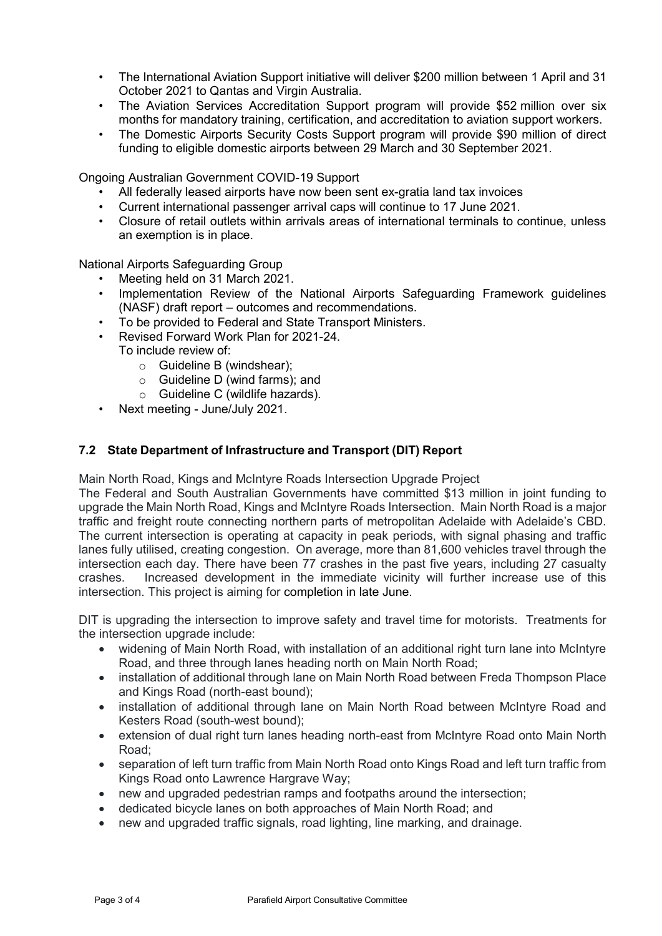- The International Aviation Support initiative will deliver \$200 million between 1 April and 31 October 2021 to Qantas and Virgin Australia.
- The Aviation Services Accreditation Support program will provide \$52 million over six months for mandatory training, certification, and accreditation to aviation support workers.
- The Domestic Airports Security Costs Support program will provide \$90 million of direct funding to eligible domestic airports between 29 March and 30 September 2021.

Ongoing Australian Government COVID-19 Support

- All federally leased airports have now been sent ex-gratia land tax invoices
- Current international passenger arrival caps will continue to 17 June 2021.
- Closure of retail outlets within arrivals areas of international terminals to continue, unless an exemption is in place.

National Airports Safeguarding Group

- Meeting held on 31 March 2021.
- Implementation Review of the National Airports Safeguarding Framework guidelines (NASF) draft report – outcomes and recommendations.
- To be provided to Federal and State Transport Ministers.
- Revised Forward Work Plan for 2021-24. To include review of:
	- o Guideline B (windshear);
	- o Guideline D (wind farms); and
	- o Guideline C (wildlife hazards).
- Next meeting June/July 2021.

#### **7.2 State Department of Infrastructure and Transport (DIT) Report**

Main North Road, Kings and McIntyre Roads Intersection Upgrade Project

The Federal and South Australian Governments have committed \$13 million in joint funding to upgrade the Main North Road, Kings and McIntyre Roads Intersection. Main North Road is a major traffic and freight route connecting northern parts of metropolitan Adelaide with Adelaide's CBD. The current intersection is operating at capacity in peak periods, with signal phasing and traffic lanes fully utilised, creating congestion. On average, more than 81,600 vehicles travel through the intersection each day. There have been 77 crashes in the past five years, including 27 casualty crashes. Increased development in the immediate vicinity will further increase use of this intersection. This project is aiming for completion in late June.

DIT is upgrading the intersection to improve safety and travel time for motorists. Treatments for the intersection upgrade include:

- widening of Main North Road, with installation of an additional right turn lane into McIntyre Road, and three through lanes heading north on Main North Road;
- installation of additional through lane on Main North Road between Freda Thompson Place and Kings Road (north-east bound);
- installation of additional through lane on Main North Road between McIntyre Road and Kesters Road (south-west bound);
- extension of dual right turn lanes heading north-east from McIntyre Road onto Main North Road;
- separation of left turn traffic from Main North Road onto Kings Road and left turn traffic from Kings Road onto Lawrence Hargrave Way;
- new and upgraded pedestrian ramps and footpaths around the intersection;
- dedicated bicycle lanes on both approaches of Main North Road; and
- new and upgraded traffic signals, road lighting, line marking, and drainage.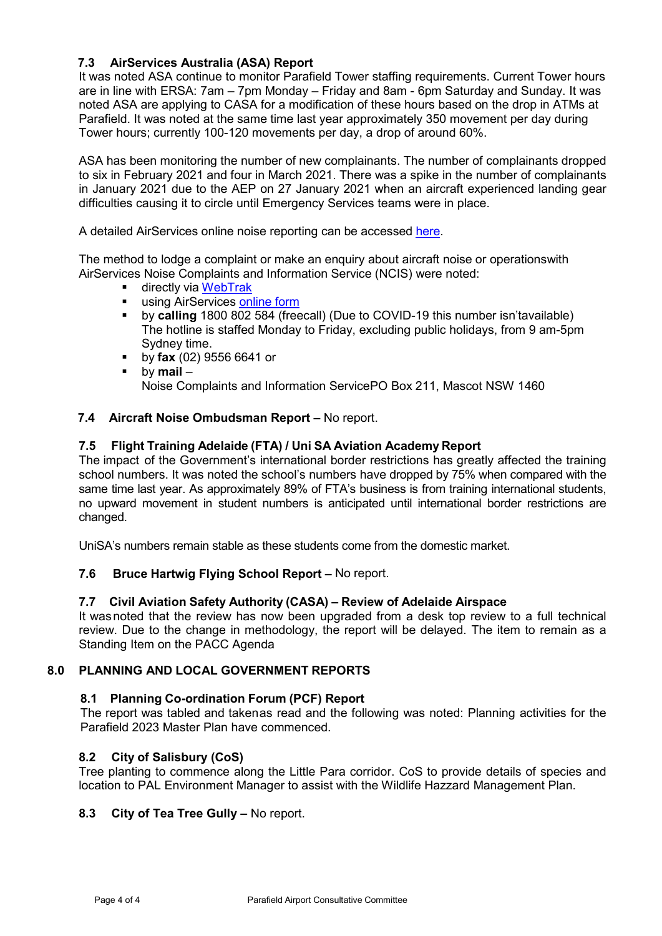# **7.3 AirServices Australia (ASA) Report**

It was noted ASA continue to monitor Parafield Tower staffing requirements. Current Tower hours are in line with ERSA: 7am – 7pm Monday – Friday and 8am - 6pm Saturday and Sunday. It was noted ASA are applying to CASA for a modification of these hours based on the drop in ATMs at Parafield. It was noted at the same time last year approximately 350 movement per day during Tower hours; currently 100-120 movements per day, a drop of around 60%.

ASA has been monitoring the number of new complainants. The number of complainants dropped to six in February 2021 and four in March 2021. There was a spike in the number of complainants in January 2021 due to the AEP on 27 January 2021 when an aircraft experienced landing gear difficulties causing it to circle until Emergency Services teams were in place.

A detailed AirServices online noise reporting can be accessed [here.](http://www.airservicesaustralia.com/aircraftnoise/airports/)

The method to lodge a complaint or make an enquiry about aircraft noise or operationswith AirServices Noise Complaints and Information Service (NCIS) were noted:

- directly via [WebTrak](http://www.airservicesaustralia.com/aircraftnoise/webtrak/)<br>■ Using AirServices.onl
- using AirServices [online](http://www.airservicesaustralia.com/aircraftnoise/about-making-a-complaint/how-to-make-a-complaint/) form
- by **calling** 1800 802 584 (freecall) (Due to COVID-19 this number isn'tavailable) The hotline is staffed Monday to Friday, excluding public holidays, from 9 am-5pm Sydney time.
- by **fax** (02) 9556 6641 or
- by **mail**  Noise Complaints and Information ServicePO Box 211, Mascot NSW 1460

## **7.4 Aircraft Noise Ombudsman Report –** No report.

## **7.5 Flight Training Adelaide (FTA) / Uni SA Aviation Academy Report**

The impact of the Government's international border restrictions has greatly affected the training school numbers. It was noted the school's numbers have dropped by 75% when compared with the same time last year. As approximately 89% of FTA's business is from training international students, no upward movement in student numbers is anticipated until international border restrictions are changed.

UniSA's numbers remain stable as these students come from the domestic market.

## **7.6 Bruce Hartwig Flying School Report –** No report.

## **7.7 Civil Aviation Safety Authority (CASA) – Review of Adelaide Airspace**

It was noted that the review has now been upgraded from a desk top review to a full technical review. Due to the change in methodology, the report will be delayed. The item to remain as a Standing Item on the PACC Agenda

## **8.0 PLANNING AND LOCAL GOVERNMENT REPORTS**

## **8.1 Planning Co-ordination Forum (PCF) Report**

The report was tabled and taken as read and the following was noted: Planning activities for the Parafield 2023 Master Plan have commenced.

## **8.2 City of Salisbury (CoS)**

Tree planting to commence along the Little Para corridor. CoS to provide details of species and location to PAL Environment Manager to assist with the Wildlife Hazzard Management Plan.

## **8.3 City of Tea Tree Gully –** No report.